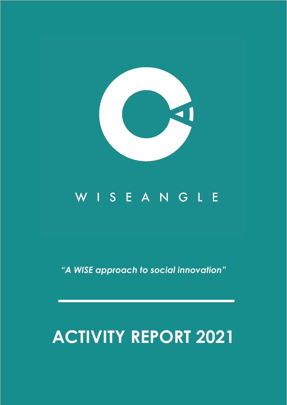

## WISEANGLE

*"A WISE approach to social innovation"*

# **ACTIVITY REPORT 2021**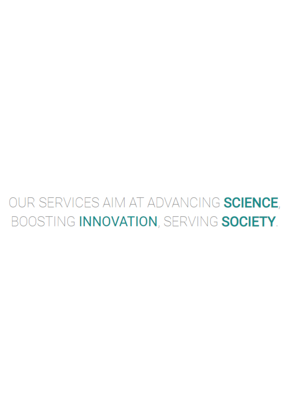## OUR SERVICES AIM AT ADVANCING SCIENCE, BOOSTING INNOVATION, SERVING SOCIETY.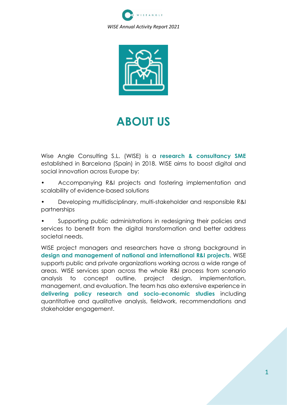



## **ABOUT US**

Wise Angle Consulting S.L. (WISE) is a **research & consultancy SME** established in Barcelona (Spain) in 2018. WISE aims to boost digital and social innovation across Europe by:

- Accompanying R&I projects and fostering implementation and scalability of evidence-based solutions
- Developing multidisciplinary, multi-stakeholder and responsible R&I partnerships

• Supporting public administrations in redesigning their policies and services to benefit from the digital transformation and better address societal needs.

WISE project managers and researchers have a strong background in **design and management of national and international R&I projects**. WISE supports public and private organizations working across a wide range of areas. WISE services span across the whole R&I process from scenario analysis to concept outline, project design, implementation, management, and evaluation. The team has also extensive experience in **delivering policy research and socio-economic studies** including quantitative and qualitative analysis, fieldwork, recommendations and stakeholder engagement.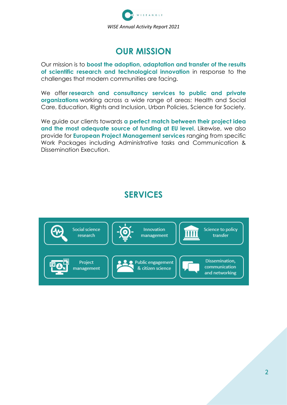

### **OUR MISSION**

Our mission is to **boost the adoption, adaptation and transfer of the results of scientific research and technological innovation** in response to the challenges that modern communities are facing.

We offer **research and consultancy services to public and private organizations** working across a wide range of areas: Health and Social Care, Education, Rights and Inclusion, Urban Policies, Science for Society.

We guide our clients towards **a perfect match between their project idea and the most adequate source of funding at EU level**. Likewise, we also provide for **European Project Management services** ranging from specific Work Packages including Administrative tasks and Communication & Dissemination Execution.

### **SERVICES**

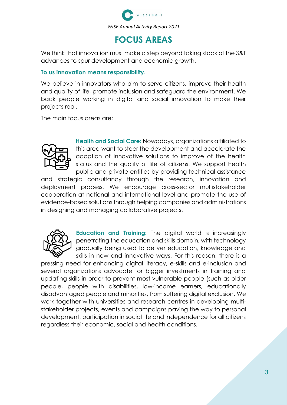

### **FOCUS AREAS**

We think that innovation must make a step beyond taking stock of the S&T advances to spur development and economic growth.

#### **To us innovation means responsibility.**

We believe in innovators who aim to serve citizens, improve their health and quality of life, promote inclusion and safeguard the environment. We back people working in digital and social innovation to make their projects real.

The main focus areas are:



**Health and Social Care:** Nowadays, organizations affiliated to this area want to steer the development and accelerate the adoption of innovative solutions to improve of the health status and the quality of life of citizens. We support health public and private entities by providing technical assistance

and strategic consultancy through the research, innovation and deployment process. We encourage cross-sector multistakeholder cooperation at national and international level and promote the use of evidence-based solutions through helping companies and administrations in designing and managing collaborative projects.



**Education and Training:** The digital world is increasingly penetrating the education and skills domain, with technology gradually being used to deliver education, knowledge and skills in new and innovative ways. For this reason, there is a

pressing need for enhancing digital literacy, e-skills and e-inclusion and several organizations advocate for bigger investments in training and updating skills in order to prevent most vulnerable people (such as older people, people with disabilities, low-income earners, educationally disadvantaged people and minorities, from suffering digital exclusion. We work together with universities and research centres in developing multistakeholder projects, events and campaigns paving the way to personal development, participation in social life and independence for all citizens regardless their economic, social and health conditions.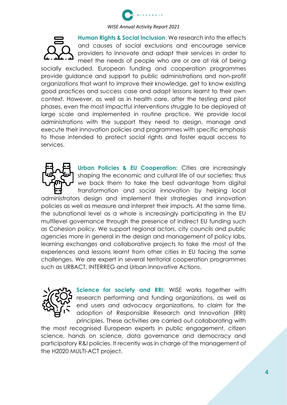

**Human Rights & Social Inclusion**: We research into the effects and causes of social exclusions and encourage service providers to innovate and adapt their services in order to meet the needs of people who are or are at risk of being socially excluded. European funding and cooperation programmes provide guidance and support to public administrations and non-profit organizations that want to improve their knowledge, get to know existing good practices and success case and adapt lessons learnt to their own context. However, as well as in health care, after the testing and pilot phases, even the most impactful interventions struggle to be deployed at large scale and implemented in routine practice. We provide local administrations with the support they need to design, manage and execute their innovation policies and programmes with specific emphasis to those intended to protect social rights and foster equal access to services.



**Urban Policies & EU Cooperation:** Cities are increasingly shaping the economic and cultural life of our societies; thus we back them to take the best advantage from digital transformation and social innovation by helping local

administrators design and implement their strategies and innovation policies as well as measure and interpret their impacts. At the same time, the subnational level as a whole is increasingly participating in the EU multilevel governance through the presence of indirect EU funding such as Cohesion policy. We support regional actors, city councils and public agencies more in general in the design and management of policy labs, learning exchanges and collaborative projects to take the most of the experiences and lessons learnt from other cities in EU facing the same challenges. We are expert in several territorial cooperation programmes such as URBACT, INTERREG and Urban Innovative Actions.



**Science for society and RRI:** WISE works together with research performing and funding organizations, as well as end users and advocacy organizations, to claim for the adoption of Responsible Research and Innovation (RRI) principles. These activities are carried out collaborating with

the most recognised European experts in public engagement, citizen science, hands on science, data governance and democracy and participatory R&I policies. It recently was in charge of the management of the H2020 MULTI-ACT project.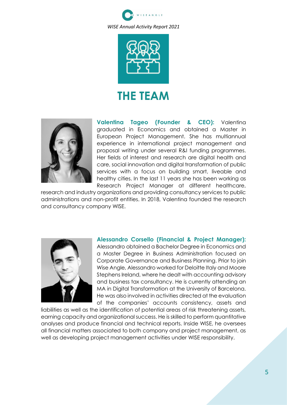



### **THE TEAM**



**Valentina Tageo (Founder & CEO):** Valentina graduated in Economics and obtained a Master in European Project Management. She has multiannual experience in international project management and proposal writing under several R&I funding programmes. Her fields of interest and research are digital health and care, social innovation and digital transformation of public services with a focus on building smart, liveable and healthy cities. In the last 11 years she has been working as Research Project Manager at different healthcare,

research and industry organizations and providing consultancy services to public administrations and non-profit entities. In 2018, Valentina founded the research and consultancy company WISE.



**Alessandro Corsello (Financial & Project Manager):** Alessandro obtained a Bachelor Degree in Economics and a Master Degree in Business Administration focused on Corporate Governance and Business Planning. Prior to join Wise Angle, Alessandro worked for Deloitte Italy and Moore Stephens Ireland, where he dealt with accounting advisory and business tax consultancy. He is currently attending an MA in Digital Transformation at the University of Barcelona. He was also involved in activities directed at the evaluation of the companies' accounts consistency, assets and

liabilities as well as the identification of potential areas of risk threatening assets, earning capacity and organizational success. He is skilled to perform quantitative analyses and produce financial and technical reports. Inside WISE, he oversees all financial matters associated to both company and project management, as well as developing project management activities under WISE responsibility.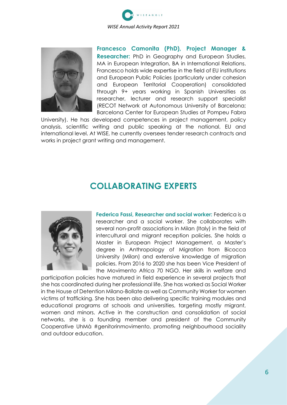



**Francesco Camonita (PhD), Project Manager & Researcher:** PhD in Geography and European Studies, MA in European Integration, BA in International Relations. Francesco holds wide expertise in the field of EU institutions and European Public Policies (particularly under cohesion and European Territorial Cooperation) consolidated through 9+ years working in Spanish Universities as researcher, lecturer and research support specialist (RECOT Network at Autonomous University of Barcelona; Barcelona Center for European Studies at Pompeu Fabra

University). He has developed competences in project management, policy analysis, scientific writing and public speaking at the national, EU and international level. At WISE, he currently oversees tender research contracts and works in project grant writing and management.

### **COLLABORATING EXPERTS**



**Federica Fassi, Researcher and social worker:** Federica is a researcher and a social worker. She collaborates with several non-profit associations in Milan (Italy) in the field of intercultural and migrant reception policies. She holds a Master in European Project Management, a Master's degree in Anthropology of Migration from Bicocca University (Milan) and extensive knowledge of migration policies. From 2016 to 2020 she has been Vice President of the Movimento Africa 70 NGO. Her skills in welfare and

participation policies have matured in field experience in several projects that she has coordinated during her professional life. She has worked as Social Worker in the House of Detention Milano-Bollate as well as Community Worker for women victims of trafficking. She has been also delivering specific training modules and educational programs at schools and universities, targeting mostly migrant, women and minors. Active in the construction and consolidation of social networks, she is a founding member and president of the Community Cooperative UhMà #genitorinmovimento, promoting neighbourhood sociality and outdoor education.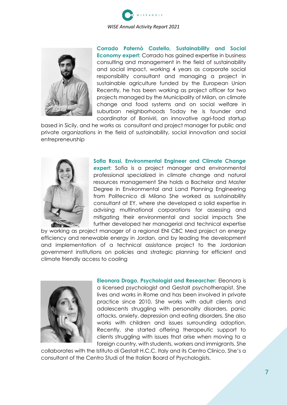



**Corrado Paternò Castello, Sustainability and Social Economy expert:** Corrado has gained expertise in business consulting and management in the field of sustainability and social impact, working 4 years as corporate social responsibility consultant and managing a project in sustainable agriculture funded by the European Union Recently, he has been working as project officer for two projects managed by the Municipality of Milan, on climate change and food systems and on social welfare in suburban neighborhoods Today he is founder and coordinator of Boniviri, an innovative agri-food startup

based in Sicily, and he works as consultant and project manager for public and private organizations in the field of sustainability, social innovation and social entrepreneurship



**Sofia Rossi, Environmental Engineer and Climate Change expert:** Sofia is a project manager and environmental professional specialized in climate change and natural resources management She holds a Bachelor and Master Degree in Environmental and Land Planning Engineering from Politecnico di Milano She worked as sustainability consultant at EY, where she developed a solid expertise in advising multinational corporations for assessing and mitigating their environmental and social impacts She further developed her managerial and technical expertise

by working as project manager of a regional ENI CBC Med project on energy efficiency and renewable energy in Jordan, and by leading the development and implementation of a technical assistance project to the Jordanian government institutions on policies and strategic planning for efficient and climate friendly access to cooling



**Eleonora Drago, Psychologist and Researcher:** Eleonora is a licensed psychologist and Gestalt psychotherapist. She lives and works in Rome and has been involved in private practice since 2010. She works with adult clients and adolescents struggling with personality disorders, panic attacks, anxiety, depression and eating disorders. She also works with children and issues surrounding adoption. Recently, she started offering therapeutic support to clients struggling with issues that arise when moving to a foreign country, with students, workers and immigrants. She

collaborates with the Istituto di Gestalt H.C.C. Italy and its Centro Clinico. She's a consultant of the Centro Studi of the Italian Board of Psychologists.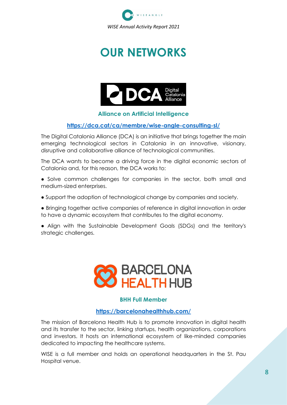

## **OUR NETWORKS**



#### **Alliance on Artificial Intelligence**

#### **<https://dca.cat/ca/membre/wise-angle-consulting-sl/>**

The Digital Catalonia Alliance (DCA) is an initiative that brings together the main emerging technological sectors in Catalonia in an innovative, visionary, disruptive and collaborative alliance of technological communities.

The DCA wants to become a driving force in the digital economic sectors of Catalonia and, for this reason, the DCA works to:

• Solve common challenges for companies in the sector, both small and medium-sized enterprises.

● Support the adoption of technological change by companies and society.

● Bringing together active companies of reference in digital innovation in order to have a dynamic ecosystem that contributes to the digital economy.

● Align with the Sustainable Development Goals (SDGs) and the territory's strategic challenges.



#### **BHH Full Member**

#### **https://barcelonahealthhub.com/**

The mission of Barcelona Health Hub is to promote innovation in digital health and its transfer to the sector, linking startups, health organizations, corporations and investors. It hosts an international ecosystem of like-minded companies dedicated to impacting the healthcare systems.

WISE is a full member and holds an operational headquarters in the St. Pau Hospital venue.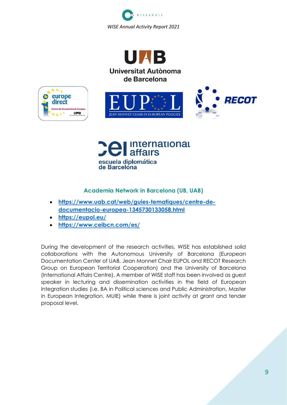

Universitat Autònoma de Barcelona







#### **Academia Network in Barcelona (UB, UAB)**

- **[https://www.uab.cat/web/guies-tematiques/centre-de](https://www.uab.cat/web/guies-tematiques/centre-de-documentacio-europea-1345730133058.html)[documentacio-europea-1345730133058.html](https://www.uab.cat/web/guies-tematiques/centre-de-documentacio-europea-1345730133058.html)**
- **<https://eupol.eu/>**
- **<https://www.ceibcn.com/es/>**

During the development of the research activities, WISE has established solid collaborations with the Autonomous University of Barcelona (European Documentation Center of UAB, Jean Monnet Chair EUPOL and RECOT Research Group on European Territorial Cooperation) and the University of Barcelona (International Affairs Centre). A member of WISE staff has been involved as guest speaker in lecturing and dissemination activities in the field of European Integration studies (i.e. BA in Political sciences and Public Administration, Master in European Integration, MUIE) while there is joint activity at grant and tender proposal level.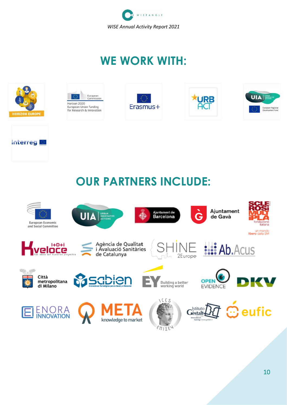

## **WE WORK WITH:**



**Interreg** 









## **OUR PARTNERS INCLUDE:**

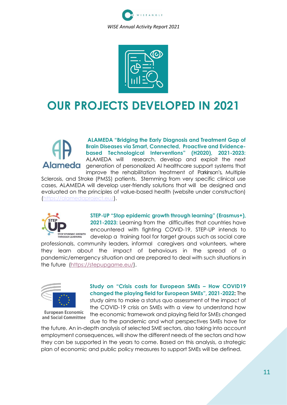



### **OUR PROJECTS DEVELOPED IN 2021**

**ALAMEDA "Bridging the Early Diagnosis and Treatment Gap of Brain Diseases via Smart, Connected, Proactive and Evidencebased Technological Interventions" (H2020), 2021-2023:** ALAMEDA will research, develop and exploit the next Alameda generation of personalized AI healthcare support systems that improve the rehabilitation treatment of Parkinson's, Multiple

Sclerosis, and Stroke (PMSS) patients. Stemming from very specific clinical use cases, ALAMEDA will develop user-friendly solutions that will be designed and evaluated on the principles of value-based health (website under construction) [\(https://alamedaproject.eu/\)](https://alamedaproject.eu/).



**STEP-UP "Stop epidemic growth through learning" (Erasmus+), 2021-2023:** Learning from the difficulties that countries have encountered with fighting COVID-19, STEP-UP intends to develop a training tool for target groups such as social care

professionals, community leaders, informal caregivers and volunteers, where they learn about the impact of behaviours in the spread of a pandemic/emergency situation and are prepared to deal with such situations in the future [\(https://stepupgame.eu/\)](https://stepupgame.eu/).



European Economic and Social Committee

**Study on "Crisis costs for European SMEs – How COVID19 changed the playing field for European SMEs", 2021-2022:** The study aims to make a status quo assessment of the impact of the COVID-19 crisis on SMEs with a view to understand how the economic framework and playing field for SMEs changed due to the pandemic and what perspectives SMEs have for

the future. An in-depth analysis of selected SME sectors, also taking into account employment consequences, will show the different needs of the sectors and how they can be supported in the years to come. Based on this analysis, a strategic plan of economic and public policy measures to support SMEs will be defined.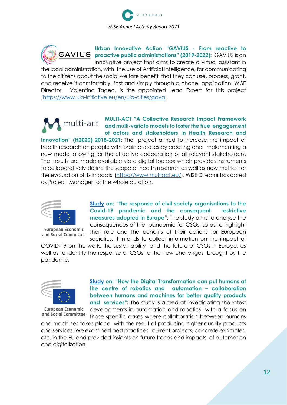



**Urban Innovative Action "GAVIUS - From reactive to proactive public administrations" (2019-2022)**: GAVIUS is an innovative project that aims to create a virtual assistant in

the local administration, with the use of Artificial Intelligence, for communicating to the citizens about the social welfare benefit that they can use, process, grant, and receive it comfortably, fast and simply through a phone application. WISE Director, Valentina Tageo, is the appointed Lead Expert for this project [\(https://www.uia-initiative.eu/en/uia-cities/gava\)](https://www.uia-initiative.eu/en/uia-cities/gava).

#### **MULTI-ACT "A Collective Research Impact Framework**  multi-act **and multi-variate models to foster the true engagement of actors and stakeholders in Health Research and**

**Innovation" (H2020) 2018-2021**: The project aimed to increase the impact of health research on people with brain diseases by creating and implementing a new model allowing for the effective cooperation of all relevant stakeholders. The results are made available via a digital toolbox which provides instruments to collaboratively define the scope of health research as well as new metrics for the evaluation of its impacts [\(https://www.multiact.eu/\)](https://www.multiact.eu/). WISE Director has acted as Project Manager for the whole duration.



European Economic and Social Committee

**[Study](https://www.eesc.europa.eu/es/our-work/publications-other-work/publications/response-civil-society-organisations-face-covid-19-pandemic-and-consequent-restrictive-measures-adopted-europe-study) on: "The response of civil society organisations to the Covid-19 pandemic and the consequent restrictive measures adopted in Europe"**: The study aims to analyse the consequences of the pandemic for CSOs, so as to highlight their role and the benefits of their actions for European societies. It intends to collect information on the impact of

COVID-19 on the work, the sustainability and the future of CSOs in Europe, as well as to identify the response of CSOs to the new challenges brought by the pandemic.



European Economic and Social Committee

**[Study](https://www.eesc.europa.eu/en/our-work/publications-other-work/publications/how-digital-transformation-can-put-humans-centre-robotics-and-automation) on: "How the Digital Transformation can put humans at the centre of robotics and automation – collaboration between humans and machines for better quality products and services":** The study is aimed at investigating the latest

developments in automation and robotics with a focus on those specific cases where collaboration between humans

and machines takes place with the result of producing higher quality products and services. We examined best practices, current projects, concrete examples, etc. in the EU and provided insights on future trends and impacts of automation and digitalization.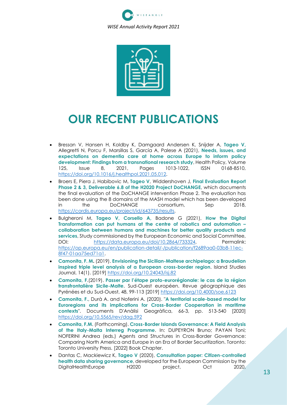



### **OUR RECENT PUBLICATIONS**

- Bressan V, Hansen H, Koldby K, Damgaard Andersen K, Snijder A, **Tageo V,** Allegretti N, Porcu F, Marsillas S, García A, Palese A (2021), **Needs, issues, and expectations on dementia care at home across Europe to inform policy development: Findings from a transnational research study**, Health Policy, Volume 125, Issue 8, 2021, Pages 1013-1022, ISSN 0168-8510, [https://doi.org/10.1016/j.healthpol.2021.05.012.](https://doi.org/10.1016/j.healthpol.2021.05.012)
- Broers E, Piera J, Habibovic M, **Tageo V**, Widdershoven J, **Final Evaluation Report Phase 2 & 3, Deliverable 6.8 of the H2020 Project DoCHANGE**, which documents the final evaluation of the DoCHANGE intervention Phase 2. The evaluation has been done using the 8 domains of the MASH model which has been developed in the DoCHANGE consortium, Sep 2018, [https://cordis.europa.eu/project/id/643735/results.](https://cordis.europa.eu/project/id/643735/results)
- Bulgheroni M, **Tageo V, Corsello A,** Badone G (2021), **How the Digital Transformation can put humans at the centre of robotics and automation – collaboration between humans and machines for better quality products and services**, Study commissioned by the European Economic and Social Committee, DOI: [https://data.europa.eu/doi/10.2864/733324,](https://data.europa.eu/doi/10.2864/733324) Permalink: [https://op.europa.eu/en/publication-detail/-/publication/f2689aa0-03b8-11ec-](https://op.europa.eu/en/publication-detail/-/publication/f2689aa0-03b8-11ec-8f47-01aa75ed71a1)[8f47-01aa75ed71a1.](https://op.europa.eu/en/publication-detail/-/publication/f2689aa0-03b8-11ec-8f47-01aa75ed71a1)
- **Camonita, F. M.** (2019). **Envisioning the Sicilian-Maltese archipelago: a Braudelian inspired triple level analysis of a European cross-border region**. Island Studies Journal, 14(1). [2019] <https://doi.org/10.24043/isj.82>
- **Camonita, F**.(2019). **Passer par l'étape proto-eurorégionale: le cas de la région transfrontalière Sicile-Malte**. Sud-Ouest européen. Revue géographique des Pyrénées et du Sud-Ouest, 48, 99-113 [2019] <https://doi.org/10.4000/soe.6123>
- **Camonita, F.**, Durà A. and Noferini A. (2020). "**A territorial scale-based model for Euroregions and its implications for Cross-Border Cooperation in maritime contexts**". Documents D'Anàlisi Geogràfica, 66-3, pp. 513-540 [2020] <https://doi.org/10.5565/rev/dag.592>
- **Camonita, F.M**. (Forthcoming). **Cross-Border Islands Governance: A Field Analysis of the Italy-Malta Interreg Programme**. In: DUPEYRON Bruno; PAYAN Toni; NOFERINI Andrea (eds.) Agents and Structures in Cross-Border Governance: Comparing North America and Europe in an Era of Border Securitization. Toronto: Toronto University Press. [2022] Book Chapter.
- Dantas C, Mackiewicz K, **Tageo V** (2020), **Consultation paper: Citizen-controlled health data sharing governance**, developed for the European Commission by the DigitalHealthEurope H2020 project, Oct 2020,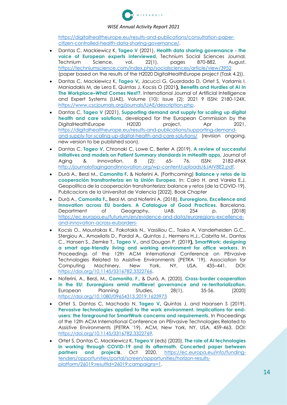

[https://digitalhealtheurope.eu/results-and-publications/consultation-paper](https://digitalhealtheurope.eu/results-and-publications/consultation-paper-citizen-controlled-health-data-sharing-governance/)[citizen-controlled-health-data-sharing-governance/.](https://digitalhealtheurope.eu/results-and-publications/consultation-paper-citizen-controlled-health-data-sharing-governance/)

- Dantas C, Mackiewicz K, **Tageo V** (2021), **Health data sharing governance - the voice of European experts interviewed**, Technium Social Sciences Journal, Technium Science, vol. 22(1), pages 870-882, August, <https://techniumscience.com/index.php/socialsciences/article/view/3952> (paper based on the results of the H2020 DigitalHealthEurope project (Task 4.2)).
- Dantas C, Mackiewicz K, **Tageo V,** Jacucci G, Guardado D, Ortet S, Varlamis I, Maniadakis M, de Lera E, Quintas J, Kocsis O (2021**), Benefits and Hurdles of AI In The Workplace–What Comes Next?.** International Journal of Artificial Intelligence and Expert Systems (IJAE), Volume (10): Issue (2): 2021 9 ISSN: 2180-124X, [https://www.cscjournals.org/journals/IJAE/description.php.](https://www.cscjournals.org/journals/IJAE/description.php)
- Dantas C, **Tageo V** (2021), **Supporting demand and supply for scaling up digital health and care solutions**, developed for the European Commission by the DigitalHealthEurope H2020 project, Apr 2021, [https://digitalhealtheurope.eu/results-and-publications/supporting-demand](https://digitalhealtheurope.eu/results-and-publications/supporting-demand-and-supply-for-scaling-up-digital-health-and-care-solutions/)[and-supply-for-scaling-up-digital-health-and-care-solutions/](https://digitalhealtheurope.eu/results-and-publications/supporting-demand-and-supply-for-scaling-up-digital-health-and-care-solutions/) (revision ongoing, new version to be published soon).
- Dantas C, **Tageo V**, Chronaki C, Lowe C, Berler A (2019), **A review of successful initiatives and models on Patient Summary standards in mHealth apps**, Journal of Aging & Innovation, 8 (2): 65- 76. ISSN: 2182-696X [http://journalofagingandinnovation.org/wp-content/uploads/6JAIV8E2.pdf.](http://journalofagingandinnovation.org/wp-content/uploads/6JAIV8E2.pdf)
- Durà A., Berzi M., **Camonita F.** & Noferini A. (Forthcoming) **Balance y retos de la cooperación transfronteriza en la Unión Europea**. In: Cairo H. and Varela E.J. Geopolítica de la cooperación transfronteriza: balance y retos (de la COVID-19). Publicacions de la Universitat de Valencia [2022]. Book Chapter
- Durà A., **Camonita F.,** Berzi M. and Noferini A. (2018). **Euroregions, Excellence and Innovation across EU borders. A Catalogue of Good Practices**. Barcelona, Department of Geography, UAB, 254 p. [2018] [https://ec.europa.eu/futurium/en/evidence-and-data/euroregions-excellence](https://ec.europa.eu/futurium/en/evidence-and-data/euroregions-excellence-and-innovation-across-euborders-)[and-innovation-across-euborders-](https://ec.europa.eu/futurium/en/evidence-and-data/euroregions-excellence-and-innovation-across-euborders-)
- Kocsis O., Moustakas K., Fakotakis N., Vassiliou C., Toska A, Vanderheiden G.C., Stergiou A., Amaxilatis D., Pardal A., Quintas J., Hermens H.J., Cabrita M., Dantas C., Hansen S., Ziemke T., **Tageo V**., and Dougan P. (2019**), SmartWork: designing a smart age-friendly living and working environment for office workers**. In Proceedings of the 12th ACM International Conference on PErvasive Technologies Related to Assistive Environments (PETRA '19). Association for Computing Machinery, New York, NY, USA, 435–441. DOI: [https://doi.org/10.1145/3316782.3322766.](https://doi.org/10.1145/3316782.3322766)
- Noferini, A., Berzi, M., **Camonita, F**., & Durà, A. (2020). **Cross-border cooperation in the EU: Euroregions amid multilevel governance and re-territorialization**. European Planning Studies, 28(1), 35-56. [2020] <https://doi.org/10.1080/09654313.2019.1623973>
- Ortet S, Dantas C, Machado N**, Tageo V,** Quintas J, and Haansen S (2019). **Pervasive technologies applied to the work environment. Implications for endusers: the foreground for SmartWork concerns and requirements**. In Proceedings of the 12th ACM International Conference on PErvasive Technologies Related to Assistive Environments (PETRA '19). ACM, New York, NY, USA, 459-463. DOI: [https://doi.org/10.1145/3316782.3322769.](https://doi.org/10.1145/3316782.3322769)
- Ortet S, Dantas C, Mackiewicz K, **Tageo V** (eds) (2020), **The role of AI technologies in working through COVID-19 and its aftermath. Concerted paper between partners and project***s*, Oct 2020, [https://ec.europa.eu/info/funding](https://ec.europa.eu/info/funding-tenders/opportunities/portal/screen/opportunities/horizon-results-platform/26019;resultId=26019;campaigns=1)[tenders/opportunities/portal/screen/opportunities/horizon-results](https://ec.europa.eu/info/funding-tenders/opportunities/portal/screen/opportunities/horizon-results-platform/26019;resultId=26019;campaigns=1)[platform/26019;resultId=26019;campaigns=1.](https://ec.europa.eu/info/funding-tenders/opportunities/portal/screen/opportunities/horizon-results-platform/26019;resultId=26019;campaigns=1)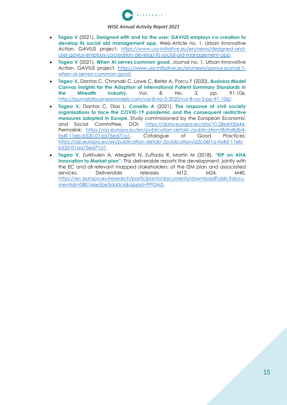

- **Tageo V** (2021), **Designed with and for the user: GAVIUS employs co-creation to develop its social aid management app**, Web-Article no. 1, Urban Innovative Action, GAVIUS project, [https://www.uia-initiative.eu/en/news/designed-and](https://www.uia-initiative.eu/en/news/designed-and-user-gavius-employs-cocreation-develop-its-social-aid-management-app)[user-gavius-employs-cocreation-develop-its-social-aid-management-app.](https://www.uia-initiative.eu/en/news/designed-and-user-gavius-employs-cocreation-develop-its-social-aid-management-app)
- **Tageo V** (2021), **When AI serves common good**, Journal no. 1, Urban Innovative Action, GAVIUS project, [https://www.uia-initiative.eu/en/news/gavius-journal-1](https://www.uia-initiative.eu/en/news/gavius-journal-1-when-ai-serves-common-good) [when-ai-serves-common-good.](https://www.uia-initiative.eu/en/news/gavius-journal-1-when-ai-serves-common-good)
- **Tageo V,** Dantas C, Chronaki C, Lowe C, Berler A, Porcu F (2020), **Business Model Canvas Insights for the Adoption of International Patient Summary Standards in the Mhealth Industry**, Vol. 8, No. 3, pp. 91-106, [http://journalofbusinessmodels.com/vol-8-no-3-2020/vol-8-no-3-pp-91-106/.](http://journalofbusinessmodels.com/vol-8-no-3-2020/vol-8-no-3-pp-91-106/)
- **Tageo V,** Dantas C, Días L, **Corsello A** (2021), **The response of civil society organisations to face the COVID-19 pandemic and the consequent restrictive measures adopted in Europe**, Study commissioned by the European Economic and Social Committee, DOI: [https://data.europa.eu/doi/10.2864/05644,](https://data.europa.eu/doi/10.2864/05644) Permalink: [https://op.europa.eu/en/publication-detail/-/publication/8dfa8db4](https://op.europa.eu/en/publication-detail/-/publication/8dfa8db4-fa4f-11eb-b520-01aa75ed71a1) [fa4f-11eb-b520-01aa75ed71a1.](https://op.europa.eu/en/publication-detail/-/publication/8dfa8db4-fa4f-11eb-b520-01aa75ed71a1) Catalogue of Good Practices: [https://op.europa.eu/en/publication-detail/-/publication/a2cd6f1a-fa4d-11eb](https://op.europa.eu/en/publication-detail/-/publication/a2cd6f1a-fa4d-11eb-b520-01aa75ed71a1)[b520-01aa75ed71a1.](https://op.europa.eu/en/publication-detail/-/publication/a2cd6f1a-fa4d-11eb-b520-01aa75ed71a1)
- **Tageo V,** Zurkhulen A, Allegretti N, Zuffada R, Martin M (2018), **"EIP on AHA Innovation to Market plan":** This deliverable reports the development, jointly with the EC and all relevant mapped stakeholders, of the I2M plan and associated services. Deliverable releases M12, M24, M40, [https://ec.europa.eu/research/participants/documents/downloadPublic?docu](https://ec.europa.eu/research/participants/documents/downloadPublic?documentIds=080166e5be3da0c6&appId=PPGMS) [mentIds=080166e5be3da0c6&appId=PPGMS.](https://ec.europa.eu/research/participants/documents/downloadPublic?documentIds=080166e5be3da0c6&appId=PPGMS)